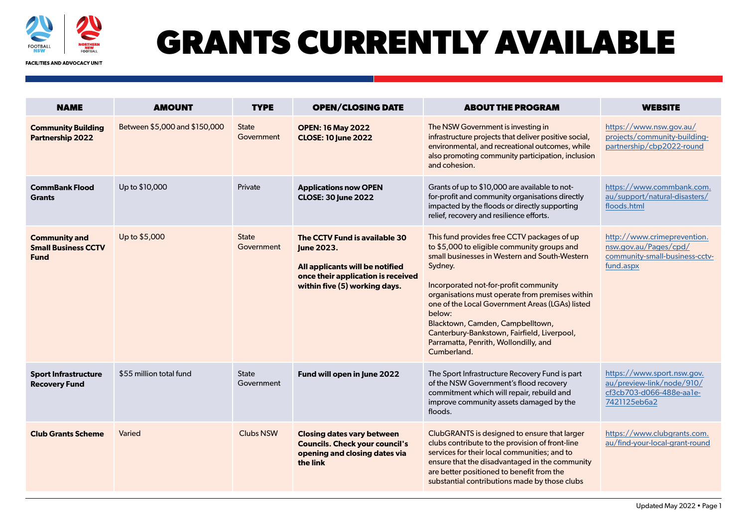

## **GRANTS CURRENTLY AVAILABLE**

**FACILITIES AND ADVOCACY UNIT** 

| <b>NAME</b>                                                       | <b>AMOUNT</b>                 | <b>TYPE</b>                | <b>OPEN/CLOSING DATE</b>                                                                                                                              | <b>ABOUT THE PROGRAM</b>                                                                                                                                                                                                                                                                                                                                                                                                                                   | <b>WEBSITE</b>                                                                                      |
|-------------------------------------------------------------------|-------------------------------|----------------------------|-------------------------------------------------------------------------------------------------------------------------------------------------------|------------------------------------------------------------------------------------------------------------------------------------------------------------------------------------------------------------------------------------------------------------------------------------------------------------------------------------------------------------------------------------------------------------------------------------------------------------|-----------------------------------------------------------------------------------------------------|
| <b>Community Building</b><br><b>Partnership 2022</b>              | Between \$5,000 and \$150,000 | <b>State</b><br>Government | <b>OPEN: 16 May 2022</b><br><b>CLOSE: 10 June 2022</b>                                                                                                | The NSW Government is investing in<br>infrastructure projects that deliver positive social,<br>environmental, and recreational outcomes, while<br>also promoting community participation, inclusion<br>and cohesion.                                                                                                                                                                                                                                       | https://www.nsw.gov.au/<br>projects/community-building-<br>partnership/cbp2022-round                |
| <b>CommBank Flood</b><br><b>Grants</b>                            | Up to \$10,000                | Private                    | <b>Applications now OPEN</b><br><b>CLOSE: 30 June 2022</b>                                                                                            | Grants of up to \$10,000 are available to not-<br>for-profit and community organisations directly<br>impacted by the floods or directly supporting<br>relief, recovery and resilience efforts.                                                                                                                                                                                                                                                             | https://www.commbank.com.<br>au/support/natural-disasters/<br>floods.html                           |
| <b>Community and</b><br><b>Small Business CCTV</b><br><b>Fund</b> | Up to \$5,000                 | <b>State</b><br>Government | The CCTV Fund is available 30<br>June 2023.<br>All applicants will be notified<br>once their application is received<br>within five (5) working days. | This fund provides free CCTV packages of up<br>to \$5,000 to eligible community groups and<br>small businesses in Western and South-Western<br>Sydney.<br>Incorporated not-for-profit community<br>organisations must operate from premises within<br>one of the Local Government Areas (LGAs) listed<br>below:<br>Blacktown, Camden, Campbelltown,<br>Canterbury-Bankstown, Fairfield, Liverpool,<br>Parramatta, Penrith, Wollondilly, and<br>Cumberland. | http://www.crimeprevention.<br>nsw.gov.au/Pages/cpd/<br>community-small-business-cctv-<br>fund.aspx |
| <b>Sport Infrastructure</b><br><b>Recovery Fund</b>               | \$55 million total fund       | <b>State</b><br>Government | Fund will open in June 2022                                                                                                                           | The Sport Infrastructure Recovery Fund is part<br>of the NSW Government's flood recovery<br>commitment which will repair, rebuild and<br>improve community assets damaged by the<br>floods.                                                                                                                                                                                                                                                                | https://www.sport.nsw.gov.<br>au/preview-link/node/910/<br>cf3cb703-d066-488e-aale-<br>7421125eb6a2 |
| <b>Club Grants Scheme</b>                                         | Varied                        | <b>Clubs NSW</b>           | <b>Closing dates vary between</b><br><b>Councils. Check your council's</b><br>opening and closing dates via<br>the link                               | ClubGRANTS is designed to ensure that larger<br>clubs contribute to the provision of front-line<br>services for their local communities; and to<br>ensure that the disadvantaged in the community<br>are better positioned to benefit from the<br>substantial contributions made by those clubs                                                                                                                                                            | https://www.clubgrants.com.<br>au/find-your-local-grant-round                                       |